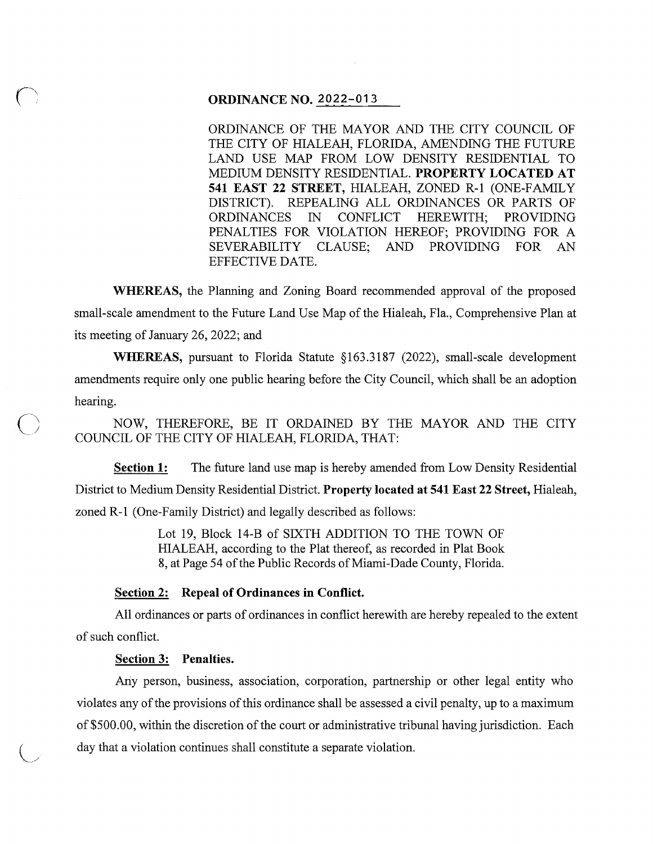## ORDINANCE NO. 2022-013

ORDINANCE OF THE MAYOR AND THE CITY COUNCIL OF THE CITY OF HIALEAH, FLORIDA, AMENDING THE FUTURE LAND USE MAP FROM LOW DENSITY RESIDENTIAL TO MEDIUM DENSITY RESIDENTIAL. PROPERTY LOCATED AT 541 EAST 22 STREET, HIALEAH, ZONED R-1 (ONE-FAMILY DISTRICT). REPEALING ALL ORDINANCES OR PARTS OF ORDINANCES IN CONFLICT HEREWITH; PROVIDING PENALTIES FOR VIOLATION HEREOF; PROVIDING FOR A SEVERABILITY CLAUSE; AND PROVIDING FOR AN EFFECTIVE DATE.

WHEREAS, the Planning and Zoning Board recommended approval of the proposed small-scale amendment to the Future Land Use Map of the Hialeah, Fla., Comprehensive Plan at its meeting of January 26, 2022; and

WHEREAS, pursuant to Florida Statute §163.3187 (2022), small-scale development amendments require only one public hearing before the City Council, which shall be an adoption hearing.

NOW, THEREFORE, BE IT ORDAINED BY THE MAYOR AND THE CITY COUNCIL OF THE CITY OF HIALEAH, FLORIDA, THAT:

Section 1: The future land use map is hereby amended from Low Density Residential District to Medium Density Residential District. Property located at 541 East 22 Street, Hialeah, zoned R-1 (One-Family District) and legally described as follows:

> Lot 19, Block 14-B of SIXTH ADDITION TO THE TOWN OF HIALEAH, according to the Plat thereof, as recorded in Plat Book 8, at Page 54 of the Public Records of Miami-Dade County, Florida.

# Section 2: Repeal of Ordinances in Conflict.

All ordinances or parts of ordinances in conflict herewith are hereby repealed to the extent of such conflict.

### Section 3: Penalties.

 $\overline{C}$ 

Ariy person, business, association, corporation, partnership or other legal entity who violates any of the provisions of this ordinance shall be assessed a civil penalty, up to a maximum of \$500.00, within the discretion of the court or administrative tribunal having jurisdiction. Each day that a violation continues shall constitute a separate violation.